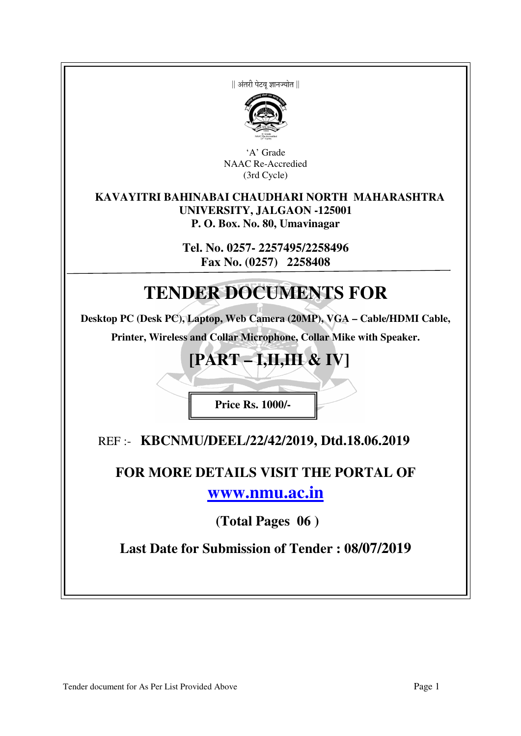|| अंतरी पेटव ज्ञानज्योत ||



'A' Grade NAAC Re-Accredied (3rd Cycle)

### **KAVAYITRI BAHINABAI CHAUDHARI NORTH MAHARASHTRA UNIVERSITY, JALGAON -125001 P. O. Box. No. 80, Umavinagar**

**Tel. No. 0257- 2257495/2258496 Fax No. (0257) 2258408** 

# **TENDER DOCUMENTS FOR**

**Desktop PC (Desk PC), Laptop, Web Camera (20MP), VGA – Cable/HDMI Cable,** 

**Printer, Wireless and Collar Microphone, Collar Mike with Speaker.** 

# **[PART – I,II,III & IV]**

**Price Rs. 1000/-** 

REF :- **KBCNMU/DEEL/22/42/2019, Dtd.18.06.2019** 

# **FOR MORE DETAILS VISIT THE PORTAL OF www.nmu.ac.in**

 **(Total Pages 06 )** 

**Last Date for Submission of Tender : 08/07/2019**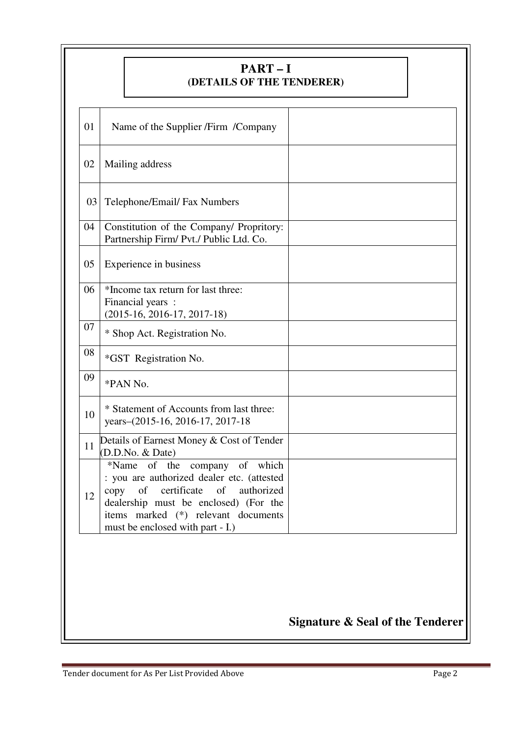|    |      | $PART-I$<br>(DETAILS OF THE TENDERER)                                                                                                                                                                                                    |                                             |
|----|------|------------------------------------------------------------------------------------------------------------------------------------------------------------------------------------------------------------------------------------------|---------------------------------------------|
| 01 |      | Name of the Supplier /Firm /Company                                                                                                                                                                                                      |                                             |
| 02 |      | Mailing address                                                                                                                                                                                                                          |                                             |
| 03 |      | Telephone/Email/ Fax Numbers                                                                                                                                                                                                             |                                             |
| 04 |      | Constitution of the Company/ Propritory:<br>Partnership Firm/ Pvt./ Public Ltd. Co.                                                                                                                                                      |                                             |
| 05 |      | Experience in business                                                                                                                                                                                                                   |                                             |
| 06 |      | *Income tax return for last three:<br>Financial years :<br>$(2015-16, 2016-17, 2017-18)$                                                                                                                                                 |                                             |
| 07 |      | * Shop Act. Registration No.                                                                                                                                                                                                             |                                             |
| 08 |      | *GST Registration No.                                                                                                                                                                                                                    |                                             |
| 09 |      | *PAN No.                                                                                                                                                                                                                                 |                                             |
| 10 |      | * Statement of Accounts from last three:<br>years-(2015-16, 2016-17, 2017-18                                                                                                                                                             |                                             |
| 11 |      | Details of Earnest Money & Cost of Tender<br>(D.D.No. & Date)                                                                                                                                                                            |                                             |
| 12 | copy | *Name of the company of which<br>: you are authorized dealer etc. (attested<br>of<br>certificate<br>of<br>authorized<br>dealership must be enclosed) (For the<br>items marked (*) relevant documents<br>must be enclosed with part - I.) |                                             |
|    |      |                                                                                                                                                                                                                                          |                                             |
|    |      |                                                                                                                                                                                                                                          | <b>Signature &amp; Seal of the Tenderer</b> |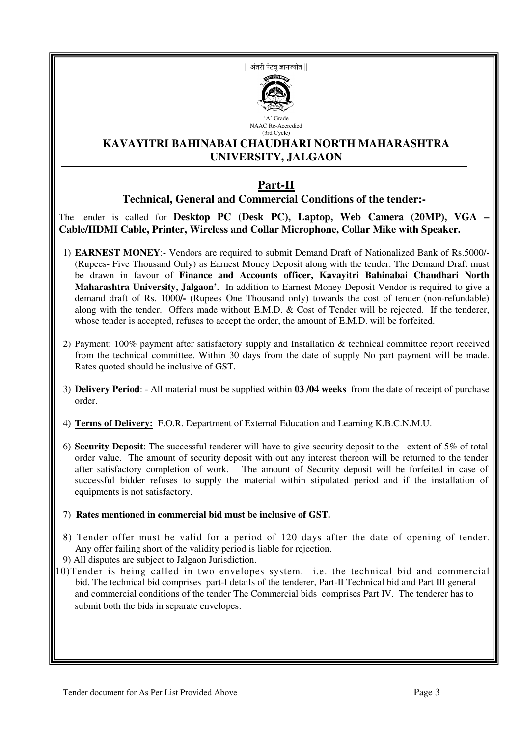|| अंतरी पेटव ज्ञानज्योत ||



### **KAVAYITRI BAHINABAI CHAUDHARI NORTH MAHARASHTRA UNIVERSITY, JALGAON**

(3rd Cycle)

# **Part-II**

**Technical, General and Commercial Conditions of the tender:-** 

The tender is called for **Desktop PC** (Desk PC), Laptop, Web Camera (20MP), VGA **Cable/HDMI Cable, Printer, Wireless and Collar Microphone, Collar Mike with Speaker.** 

- 1) **EARNEST MONEY**:- Vendors are required to submit Demand Draft of Nationalized Bank of Rs.5000/- (Rupees- Five Thousand Only) as Earnest Money Deposit along with the tender. The Demand Draft must be drawn in favour of **Finance and Accounts officer, Kavayitri Bahinabai Chaudhari North Maharashtra University, Jalgaon'.** In addition to Earnest Money Deposit Vendor is required to give a demand draft of Rs. 1000**/-** (Rupees One Thousand only) towards the cost of tender (non-refundable) along with the tender. Offers made without E.M.D. & Cost of Tender will be rejected. If the tenderer, whose tender is accepted, refuses to accept the order, the amount of E.M.D. will be forfeited.
- 2) Payment: 100% payment after satisfactory supply and Installation & technical committee report received from the technical committee. Within 30 days from the date of supply No part payment will be made. Rates quoted should be inclusive of GST.
- 3) **Delivery Period**: All material must be supplied within **03 /04 weeks** from the date of receipt of purchase order.
- 4) **Terms of Delivery:** F.O.R. Department of External Education and Learning K.B.C.N.M.U.
- 6) **Security Deposit**: The successful tenderer will have to give security deposit to the extent of 5% of total order value. The amount of security deposit with out any interest thereon will be returned to the tender after satisfactory completion of work. The amount of Security deposit will be forfeited in case of successful bidder refuses to supply the material within stipulated period and if the installation of equipments is not satisfactory.
- 7) **Rates mentioned in commercial bid must be inclusive of GST.**
- 8) Tender offer must be valid for a period of 120 days after the date of opening of tender. Any offer failing short of the validity period is liable for rejection.
- 9) All disputes are subject to Jalgaon Jurisdiction.

10)Tender is being called in two envelopes system. i.e. the technical bid and commercial bid. The technical bid comprises part-I details of the tenderer, Part-II Technical bid and Part III general and commercial conditions of the tender The Commercial bids comprises Part IV. The tenderer has to submit both the bids in separate envelopes.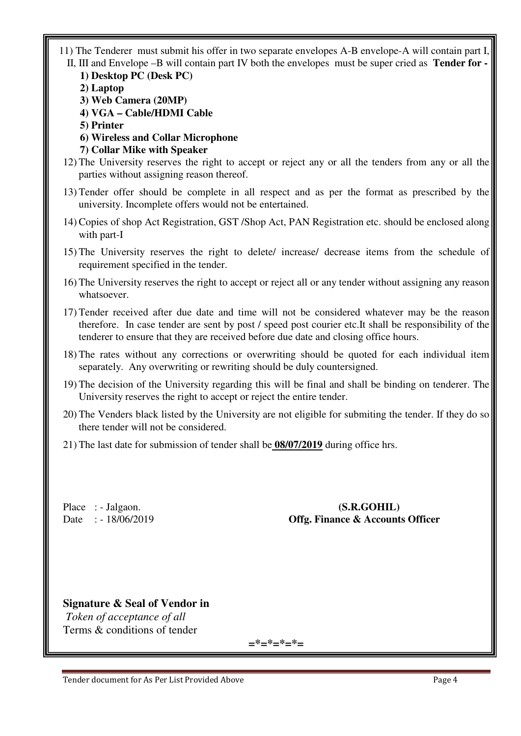- 11) The Tenderer must submit his offer in two separate envelopes A-B envelope-A will contain part I, II, III and Envelope –B will contain part IV both the envelopes must be super cried as **Tender for -** 
	- **1) Desktop PC (Desk PC)**
	- **2) Laptop**
	- **3) Web Camera (20MP)**
	- **4) VGA Cable/HDMI Cable**
	- **5) Printer**
	- **6) Wireless and Collar Microphone**
	- **7) Collar Mike with Speaker**
- 12) The University reserves the right to accept or reject any or all the tenders from any or all the parties without assigning reason thereof.
- 13) Tender offer should be complete in all respect and as per the format as prescribed by the university. Incomplete offers would not be entertained.
- 14) Copies of shop Act Registration, GST /Shop Act, PAN Registration etc. should be enclosed along with part-I
- 15) The University reserves the right to delete/ increase/ decrease items from the schedule of requirement specified in the tender.
- 16) The University reserves the right to accept or reject all or any tender without assigning any reason whatsoever.
- 17) Tender received after due date and time will not be considered whatever may be the reason therefore. In case tender are sent by post / speed post courier etc.It shall be responsibility of the tenderer to ensure that they are received before due date and closing office hours.
- 18) The rates without any corrections or overwriting should be quoted for each individual item separately. Any overwriting or rewriting should be duly countersigned.
- 19) The decision of the University regarding this will be final and shall be binding on tenderer. The University reserves the right to accept or reject the entire tender.
- 20) The Venders black listed by the University are not eligible for submiting the tender. If they do so there tender will not be considered.
- 21) The last date for submission of tender shall be **08/07/2019** during office hrs.

Place : - Jalgaon. **(S.R.GOHIL)** Date : - 18/06/2019 **Offg. Finance & Accounts Officer** 

### **Signature & Seal of Vendor in**

 *Token of acceptance of all*  Terms & conditions of tender

**=\*=\*=\*=\*=**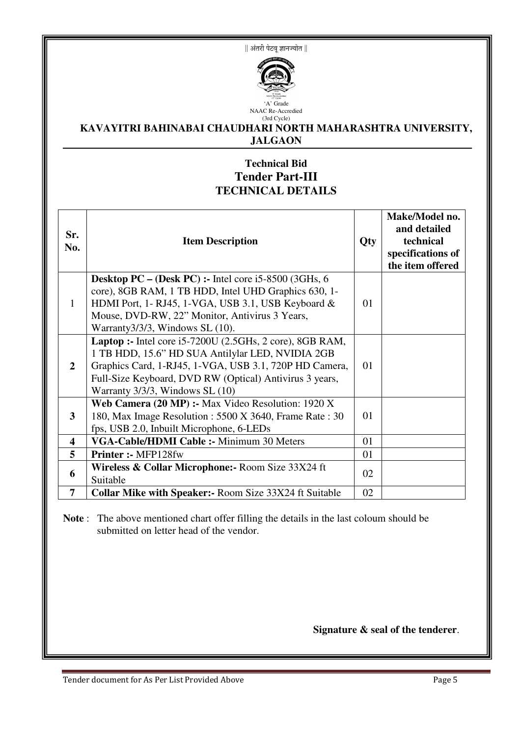|| अंतरी पेटवू ज्ञानज्योत ||



#### (3rd Cycle) **KAVAYITRI BAHINABAI CHAUDHARI NORTH MAHARASHTRA UNIVERSITY, JALGAON**

## **Technical Bid Tender Part-III TECHNICAL DETAILS**

| Sr.<br>No.              | <b>Item Description</b>                                                                                                                                                                                                                                                       | <b>Qty</b> | Make/Model no.<br>and detailed<br>technical<br>specifications of<br>the item offered |
|-------------------------|-------------------------------------------------------------------------------------------------------------------------------------------------------------------------------------------------------------------------------------------------------------------------------|------------|--------------------------------------------------------------------------------------|
| 1                       | Desktop PC – (Desk PC) :- Intel core i5-8500 (3GHs, 6<br>core), 8GB RAM, 1 TB HDD, Intel UHD Graphics 630, 1-<br>HDMI Port, 1-RJ45, 1-VGA, USB 3.1, USB Keyboard &<br>Mouse, DVD-RW, 22" Monitor, Antivirus 3 Years,<br>Warranty $3/3/3$ , Windows SL $(10)$ .                | 01         |                                                                                      |
| $\overline{2}$          | <b>Laptop :-</b> Intel core $i5-7200U$ (2.5GHs, 2 core), 8GB RAM,<br>1 TB HDD, 15.6" HD SUA Antilylar LED, NVIDIA 2GB<br>Graphics Card, 1-RJ45, 1-VGA, USB 3.1, 720P HD Camera,<br>Full-Size Keyboard, DVD RW (Optical) Antivirus 3 years,<br>Warranty 3/3/3, Windows SL (10) | 01         |                                                                                      |
| 3                       | Web Camera (20 MP) :- Max Video Resolution: 1920 X<br>180, Max Image Resolution : 5500 X 3640, Frame Rate : 30<br>fps, USB 2.0, Inbuilt Microphone, 6-LEDs                                                                                                                    | 01         |                                                                                      |
| $\overline{\mathbf{4}}$ | VGA-Cable/HDMI Cable :- Minimum 30 Meters                                                                                                                                                                                                                                     | 01         |                                                                                      |
| 5                       | Printer :- MFP128fw                                                                                                                                                                                                                                                           | 01         |                                                                                      |
| 6                       | Wireless & Collar Microphone: Room Size 33X24 ft<br>Suitable                                                                                                                                                                                                                  | 02         |                                                                                      |
| 7                       | <b>Collar Mike with Speaker:- Room Size 33X24 ft Suitable</b>                                                                                                                                                                                                                 | 02         |                                                                                      |

**Note** : The above mentioned chart offer filling the details in the last coloum should be submitted on letter head of the vendor.

**Signature & seal of the tenderer**.

Tender document for As Per List Provided Above **Page 5** Page 5

٦